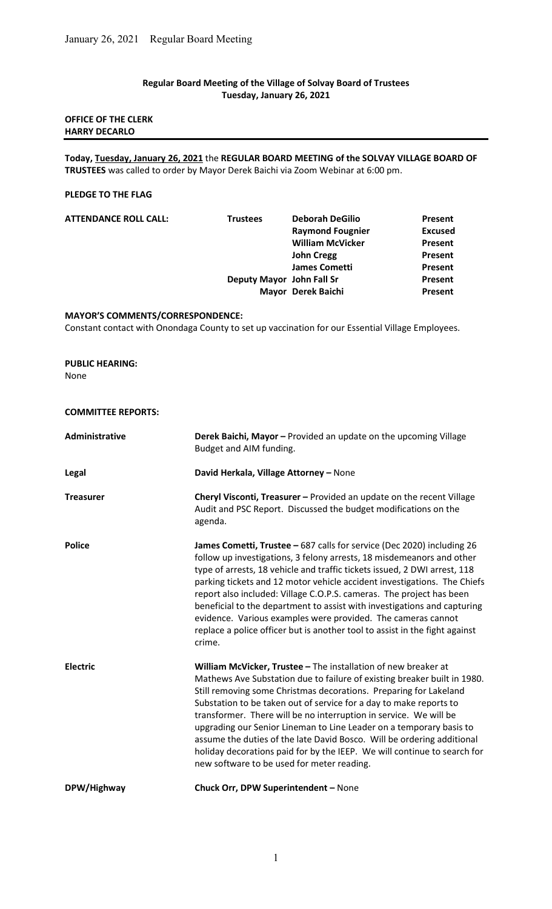## Regular Board Meeting of the Village of Solvay Board of Trustees Tuesday, January 26, 2021

## OFFICE OF THE CLERK HARRY DECARLO

Today, Tuesday, January 26, 2021 the REGULAR BOARD MEETING of the SOLVAY VILLAGE BOARD OF TRUSTEES was called to order by Mayor Derek Baichi via Zoom Webinar at 6:00 pm.

## PLEDGE TO THE FLAG

| <b>ATTENDANCE ROLL CALL:</b> | <b>Trustees</b>           | <b>Deborah DeGilio</b>  | Present        |
|------------------------------|---------------------------|-------------------------|----------------|
|                              |                           | <b>Raymond Fougnier</b> | <b>Excused</b> |
|                              |                           | <b>William McVicker</b> | Present        |
|                              |                           | <b>John Cregg</b>       | Present        |
|                              |                           | <b>James Cometti</b>    | Present        |
|                              | Deputy Mayor John Fall Sr |                         | Present        |
|                              |                           | Mayor Derek Baichi      | Present        |

#### MAYOR'S COMMENTS/CORRESPONDENCE:

Constant contact with Onondaga County to set up vaccination for our Essential Village Employees.

### PUBLIC HEARING:

None

## COMMITTEE REPORTS:

| Administrative   | Derek Baichi, Mayor - Provided an update on the upcoming Village<br>Budget and AIM funding.                                                                                                                                                                                                                                                                                                                                                                                                                                                                                                                                           |  |  |  |
|------------------|---------------------------------------------------------------------------------------------------------------------------------------------------------------------------------------------------------------------------------------------------------------------------------------------------------------------------------------------------------------------------------------------------------------------------------------------------------------------------------------------------------------------------------------------------------------------------------------------------------------------------------------|--|--|--|
| <b>Legal</b>     | David Herkala, Village Attorney - None                                                                                                                                                                                                                                                                                                                                                                                                                                                                                                                                                                                                |  |  |  |
| <b>Treasurer</b> | Cheryl Visconti, Treasurer - Provided an update on the recent Village<br>Audit and PSC Report. Discussed the budget modifications on the<br>agenda.                                                                                                                                                                                                                                                                                                                                                                                                                                                                                   |  |  |  |
| <b>Police</b>    | James Cometti, Trustee - 687 calls for service (Dec 2020) including 26<br>follow up investigations, 3 felony arrests, 18 misdemeanors and other<br>type of arrests, 18 vehicle and traffic tickets issued, 2 DWI arrest, 118<br>parking tickets and 12 motor vehicle accident investigations. The Chiefs<br>report also included: Village C.O.P.S. cameras. The project has been<br>beneficial to the department to assist with investigations and capturing<br>evidence. Various examples were provided. The cameras cannot<br>replace a police officer but is another tool to assist in the fight against<br>crime.                 |  |  |  |
| <b>Electric</b>  | William McVicker, Trustee - The installation of new breaker at<br>Mathews Ave Substation due to failure of existing breaker built in 1980.<br>Still removing some Christmas decorations. Preparing for Lakeland<br>Substation to be taken out of service for a day to make reports to<br>transformer. There will be no interruption in service. We will be<br>upgrading our Senior Lineman to Line Leader on a temporary basis to<br>assume the duties of the late David Bosco. Will be ordering additional<br>holiday decorations paid for by the IEEP. We will continue to search for<br>new software to be used for meter reading. |  |  |  |
| DPW/Highway      | Chuck Orr, DPW Superintendent - None                                                                                                                                                                                                                                                                                                                                                                                                                                                                                                                                                                                                  |  |  |  |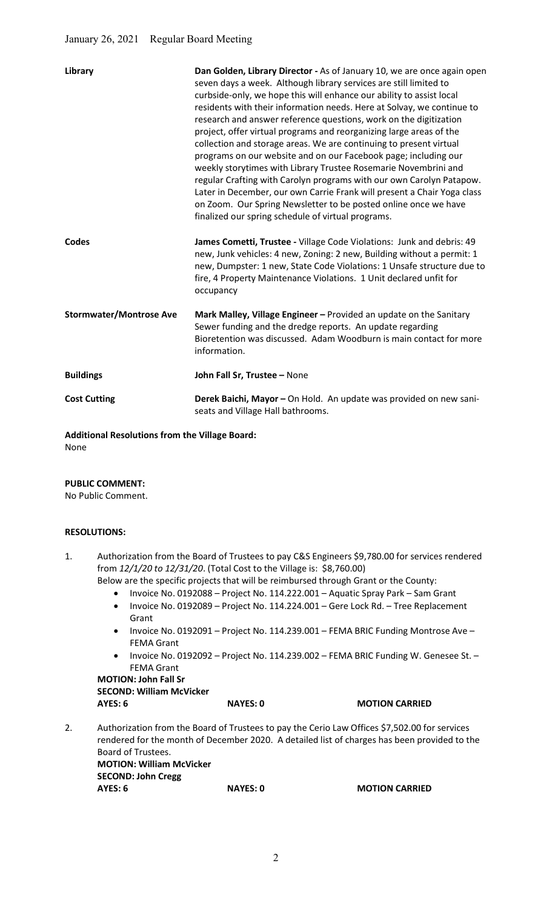| Library                        | Dan Golden, Library Director - As of January 10, we are once again open<br>seven days a week. Although library services are still limited to<br>curbside-only, we hope this will enhance our ability to assist local<br>residents with their information needs. Here at Solvay, we continue to<br>research and answer reference questions, work on the digitization<br>project, offer virtual programs and reorganizing large areas of the<br>collection and storage areas. We are continuing to present virtual<br>programs on our website and on our Facebook page; including our<br>weekly storytimes with Library Trustee Rosemarie Novembrini and<br>regular Crafting with Carolyn programs with our own Carolyn Patapow.<br>Later in December, our own Carrie Frank will present a Chair Yoga class<br>on Zoom. Our Spring Newsletter to be posted online once we have<br>finalized our spring schedule of virtual programs. |
|--------------------------------|------------------------------------------------------------------------------------------------------------------------------------------------------------------------------------------------------------------------------------------------------------------------------------------------------------------------------------------------------------------------------------------------------------------------------------------------------------------------------------------------------------------------------------------------------------------------------------------------------------------------------------------------------------------------------------------------------------------------------------------------------------------------------------------------------------------------------------------------------------------------------------------------------------------------------------|
| Codes                          | James Cometti, Trustee - Village Code Violations: Junk and debris: 49<br>new, Junk vehicles: 4 new, Zoning: 2 new, Building without a permit: 1<br>new, Dumpster: 1 new, State Code Violations: 1 Unsafe structure due to<br>fire, 4 Property Maintenance Violations. 1 Unit declared unfit for<br>occupancy                                                                                                                                                                                                                                                                                                                                                                                                                                                                                                                                                                                                                       |
| <b>Stormwater/Montrose Ave</b> | Mark Malley, Village Engineer - Provided an update on the Sanitary<br>Sewer funding and the dredge reports. An update regarding<br>Bioretention was discussed. Adam Woodburn is main contact for more<br>information.                                                                                                                                                                                                                                                                                                                                                                                                                                                                                                                                                                                                                                                                                                              |
| <b>Buildings</b>               | John Fall Sr, Trustee - None                                                                                                                                                                                                                                                                                                                                                                                                                                                                                                                                                                                                                                                                                                                                                                                                                                                                                                       |
| <b>Cost Cutting</b>            | Derek Baichi, Mayor - On Hold. An update was provided on new sani-<br>seats and Village Hall bathrooms.                                                                                                                                                                                                                                                                                                                                                                                                                                                                                                                                                                                                                                                                                                                                                                                                                            |

Additional Resolutions from the Village Board: None

#### PUBLIC COMMENT:

No Public Comment.

#### RESOLUTIONS:

- 1. Authorization from the Board of Trustees to pay C&S Engineers \$9,780.00 for services rendered from 12/1/20 to 12/31/20. (Total Cost to the Village is: \$8,760.00)
	- Below are the specific projects that will be reimbursed through Grant or the County:
		- Invoice No. 0192088 Project No. 114.222.001 Aquatic Spray Park Sam Grant
		- Invoice No. 0192089 Project No. 114.224.001 Gere Lock Rd. Tree Replacement Grant
		- Invoice No. 0192091 Project No. 114.239.001 FEMA BRIC Funding Montrose Ave FEMA Grant
		- Invoice No. 0192092 Project No. 114.239.002 FEMA BRIC Funding W. Genesee St. -FEMA Grant

MOTION: John Fall Sr SECOND: William McVicker AYES: 6 NAYES: 0 MOTION CARRIED

2. Authorization from the Board of Trustees to pay the Cerio Law Offices \$7,502.00 for services rendered for the month of December 2020. A detailed list of charges has been provided to the Board of Trustees. MOTION: William McVicker SECOND: John Cregg AYES: 6 NAYES: 0 MOTION CARRIED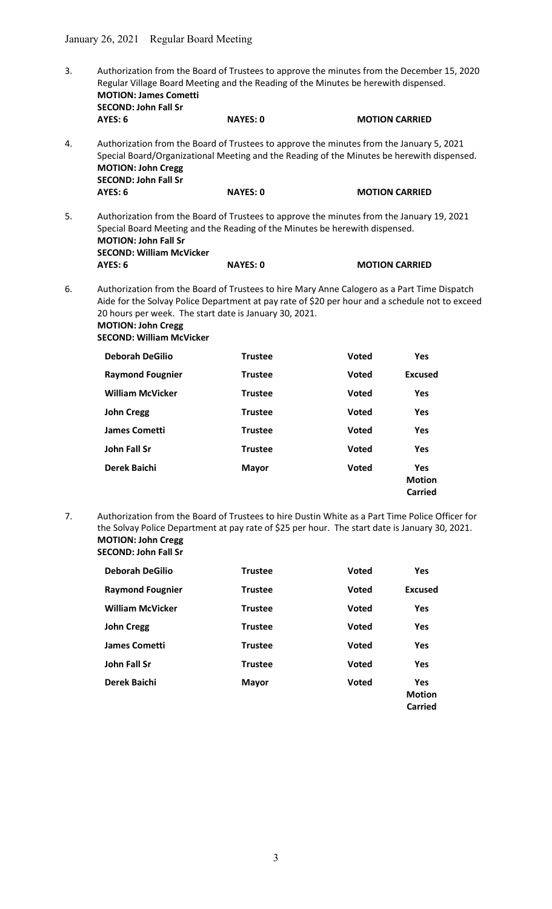3. Authorization from the Board of Trustees to approve the minutes from the December 15, 2020 Regular Village Board Meeting and the Reading of the Minutes be herewith dispensed. MOTION: James Cometti SECOND: John Fall Sr AYES: 6 NAYES: 0 MOTION CARRIED 4. Authorization from the Board of Trustees to approve the minutes from the January 5, 2021 Special Board/Organizational Meeting and the Reading of the Minutes be herewith dispensed. MOTION: John Cregg SECOND: John Fall Sr AYES: 6 NAYES: 0 MOTION CARRIED 5. Authorization from the Board of Trustees to approve the minutes from the January 19, 2021 Special Board Meeting and the Reading of the Minutes be herewith dispensed. MOTION: John Fall Sr SECOND: William McVicker

| AYES: 6 | <b>NAYES: 0</b> |
|---------|-----------------|

6. Authorization from the Board of Trustees to hire Mary Anne Calogero as a Part Time Dispatch Aide for the Solvay Police Department at pay rate of \$20 per hour and a schedule not to exceed 20 hours per week. The start date is January 30, 2021.

**MOTION CARRIED** 

MOTION: John Cregg SECOND: William McVicker

| <b>Deborah DeGilio</b>  | <b>Trustee</b> | <b>Voted</b> | <b>Yes</b>                             |
|-------------------------|----------------|--------------|----------------------------------------|
| <b>Raymond Fougnier</b> | <b>Trustee</b> | <b>Voted</b> | <b>Excused</b>                         |
| <b>William McVicker</b> | <b>Trustee</b> | <b>Voted</b> | <b>Yes</b>                             |
| <b>John Cregg</b>       | <b>Trustee</b> | <b>Voted</b> | <b>Yes</b>                             |
| <b>James Cometti</b>    | <b>Trustee</b> | <b>Voted</b> | <b>Yes</b>                             |
| <b>John Fall Sr</b>     | <b>Trustee</b> | <b>Voted</b> | <b>Yes</b>                             |
| Derek Baichi            | <b>Mayor</b>   | <b>Voted</b> | <b>Yes</b><br><b>Motion</b><br>Carried |

7. Authorization from the Board of Trustees to hire Dustin White as a Part Time Police Officer for the Solvay Police Department at pay rate of \$25 per hour. The start date is January 30, 2021. MOTION: John Cregg SECOND: John Fall Sr

| <b>Deborah DeGilio</b>  | <b>Trustee</b> | <b>Voted</b> | <b>Yes</b>                             |
|-------------------------|----------------|--------------|----------------------------------------|
| <b>Raymond Fougnier</b> | <b>Trustee</b> | <b>Voted</b> | <b>Excused</b>                         |
| <b>William McVicker</b> | <b>Trustee</b> | <b>Voted</b> | <b>Yes</b>                             |
| <b>John Cregg</b>       | <b>Trustee</b> | <b>Voted</b> | <b>Yes</b>                             |
| <b>James Cometti</b>    | <b>Trustee</b> | <b>Voted</b> | <b>Yes</b>                             |
| John Fall Sr            | <b>Trustee</b> | <b>Voted</b> | <b>Yes</b>                             |
| Derek Baichi            | <b>Mayor</b>   | <b>Voted</b> | <b>Yes</b><br><b>Motion</b><br>Carried |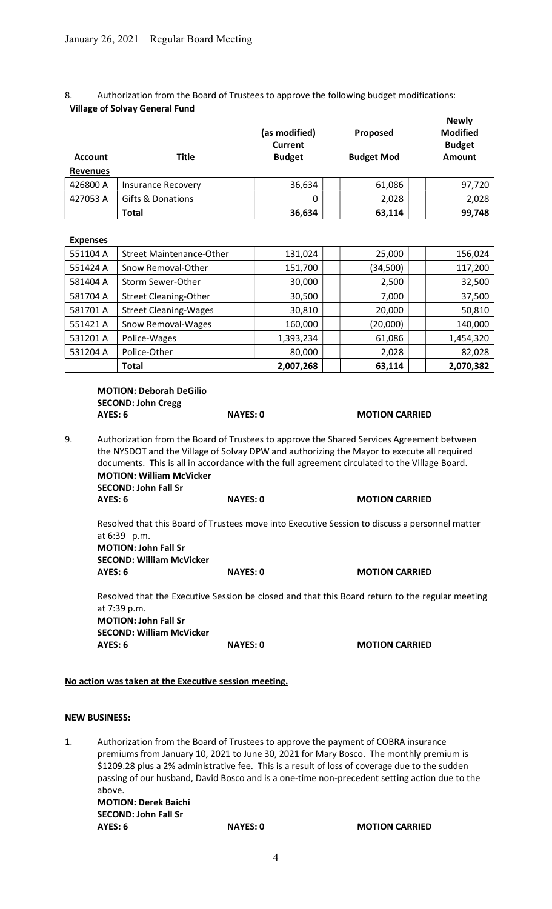## 8. Authorization from the Board of Trustees to approve the following budget modifications: Village of Solvay General Fund

|                                          |                                 | (as modified)<br><b>Current</b> | Proposed          | <b>Newly</b><br><b>Modified</b><br><b>Budget</b> |
|------------------------------------------|---------------------------------|---------------------------------|-------------------|--------------------------------------------------|
| <b>Account</b>                           | <b>Title</b>                    | <b>Budget</b>                   | <b>Budget Mod</b> | Amount                                           |
| <b>Revenues</b>                          |                                 |                                 |                   |                                                  |
| 426800 A                                 | <b>Insurance Recovery</b>       | 36,634                          | 61,086            | 97,720                                           |
| 427053 A                                 | Gifts & Donations               | 0                               | 2,028             | 2,028                                            |
|                                          | <b>Total</b>                    | 36,634                          | 63,114            | 99,748                                           |
| <b>Expenses</b>                          |                                 |                                 |                   |                                                  |
| 551104 A                                 | <b>Street Maintenance-Other</b> | 131,024                         | 25,000            | 156,024                                          |
| 551424 A                                 | Snow Removal-Other              | 151,700                         | (34,500)          | 117,200                                          |
| 581404 A                                 | Storm Sewer-Other               | 30,000                          | 2,500             | 32,500                                           |
| 581704 A                                 | <b>Street Cleaning-Other</b>    | 30,500                          | 7,000             | 37,500                                           |
| 581701 A<br><b>Street Cleaning-Wages</b> |                                 | 30,810                          | 20,000            | 50,810                                           |
| 551421 A                                 | Snow Removal-Wages              | 160,000                         | (20,000)          | 140,000                                          |
| 531201 A                                 | Police-Wages                    | 1,393,234                       | 61,086            | 1,454,320                                        |
| 531204 A                                 | Police-Other                    | 80,000                          | 2,028             | 82,028                                           |

 $\begin{array}{|c|c|c|c|c|c|}\hline \text{Total} & & & \A & \text{2,007,268} & & \text{63,114} & & \text{2,070,382}\ \hline \end{array}$ 

# MOTION: Deborah DeGilio SECOND: John Cregg AYES: 6 NAYES: 0 MOTION CARRIED

9. Authorization from the Board of Trustees to approve the Shared Services Agreement between the NYSDOT and the Village of Solvay DPW and authorizing the Mayor to execute all required documents. This is all in accordance with the full agreement circulated to the Village Board. MOTION: William McVicker SECOND: John Fall Sr

|  |             | M |  | . | . . |  |
|--|-------------|---|--|---|-----|--|
|  | <b>AVEQ</b> |   |  |   |     |  |

AYES: 6 NAYES: 0 MOTION CARRIED

 Resolved that this Board of Trustees move into Executive Session to discuss a personnel matter at 6:39 p.m. MOTION: John Fall Sr

 SECOND: William McVicker AYES: 6 NAYES: 0 MOTION CARRIED

 Resolved that the Executive Session be closed and that this Board return to the regular meeting at 7:39 p.m. MOTION: John Fall Sr SECOND: William McVicker AYES: 6 NAYES: 0 MOTION CARRIED

## No action was taken at the Executive session meeting.

## NEW BUSINESS:

1. Authorization from the Board of Trustees to approve the payment of COBRA insurance premiums from January 10, 2021 to June 30, 2021 for Mary Bosco. The monthly premium is \$1209.28 plus a 2% administrative fee. This is a result of loss of coverage due to the sudden passing of our husband, David Bosco and is a one-time non-precedent setting action due to the above. MOTION: Derek Baichi SECOND: John Fall Sr AYES: 6 NAYES: 0 MOTION CARRIED